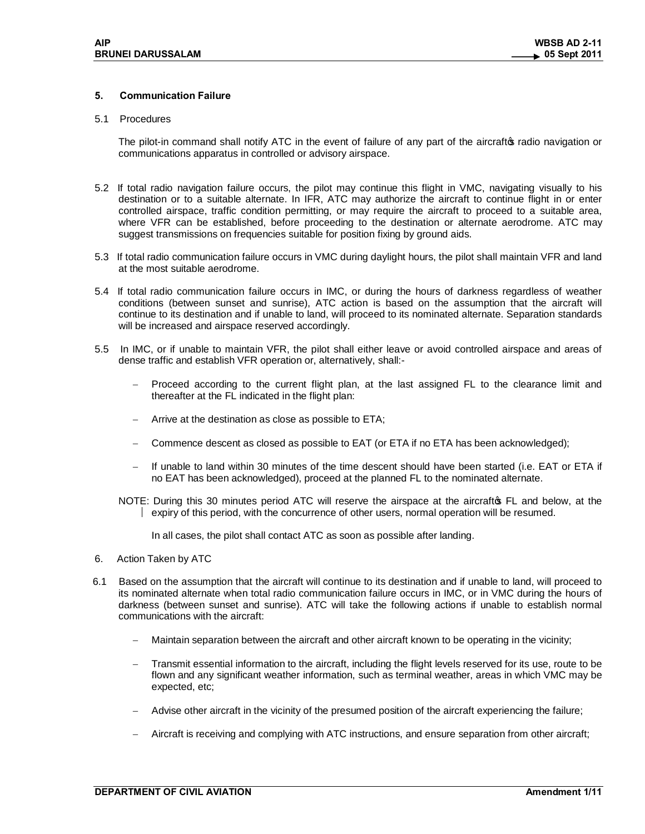# **5. Communication Failure**

#### 5.1 Procedures

The pilot-in command shall notify ATC in the event of failure of any part of the aircraftos radio navigation or communications apparatus in controlled or advisory airspace.

- 5.2 If total radio navigation failure occurs, the pilot may continue this flight in VMC, navigating visually to his destination or to a suitable alternate. In IFR, ATC may authorize the aircraft to continue flight in or enter controlled airspace, traffic condition permitting, or may require the aircraft to proceed to a suitable area, where VFR can be established, before proceeding to the destination or alternate aerodrome. ATC may suggest transmissions on frequencies suitable for position fixing by ground aids.
- 5.3 If total radio communication failure occurs in VMC during daylight hours, the pilot shall maintain VFR and land at the most suitable aerodrome.
- 5.4 If total radio communication failure occurs in IMC, or during the hours of darkness regardless of weather conditions (between sunset and sunrise), ATC action is based on the assumption that the aircraft will continue to its destination and if unable to land, will proceed to its nominated alternate. Separation standards will be increased and airspace reserved accordingly.
- 5.5 In IMC, or if unable to maintain VFR, the pilot shall either leave or avoid controlled airspace and areas of dense traffic and establish VFR operation or, alternatively, shall:-
	- Proceed according to the current flight plan, at the last assigned FL to the clearance limit and thereafter at the FL indicated in the flight plan:
	- Arrive at the destination as close as possible to ETA;
	- Commence descent as closed as possible to EAT (or ETA if no ETA has been acknowledged);
	- If unable to land within 30 minutes of the time descent should have been started (i.e. EAT or ETA if no EAT has been acknowledged), proceed at the planned FL to the nominated alternate.
	- NOTE: During this 30 minutes period ATC will reserve the airspace at the aircraft of FL and below, at the  $\vert$  expiry of this period, with the concurrence of other users, normal operation will be resumed.
		- In all cases, the pilot shall contact ATC as soon as possible after landing.
- 6. Action Taken by ATC
- 6.1 Based on the assumption that the aircraft will continue to its destination and if unable to land, will proceed to its nominated alternate when total radio communication failure occurs in IMC, or in VMC during the hours of darkness (between sunset and sunrise). ATC will take the following actions if unable to establish normal communications with the aircraft:
	- Maintain separation between the aircraft and other aircraft known to be operating in the vicinity;
	- Transmit essential information to the aircraft, including the flight levels reserved for its use, route to be flown and any significant weather information, such as terminal weather, areas in which VMC may be expected, etc;
	- Advise other aircraft in the vicinity of the presumed position of the aircraft experiencing the failure;
	- Aircraft is receiving and complying with ATC instructions, and ensure separation from other aircraft;